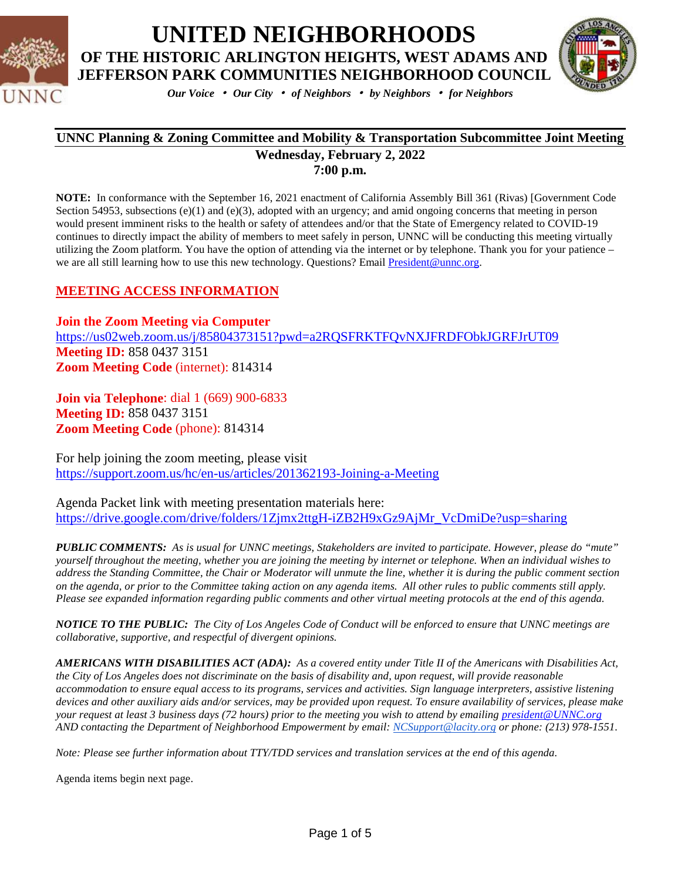



*Our Voice* • *Our City* • *of Neighbors* • *by Neighbors* • *for Neighbors*

#### **UNNC Planning & Zoning Committee and Mobility & Transportation Subcommittee Joint Meeting Wednesday, February 2, 2022 7:00 p.m.**

**NOTE:** In conformance with the September 16, 2021 enactment of California Assembly Bill 361 (Rivas) [Government Code Section 54953, subsections (e)(1) and (e)(3), adopted with an urgency; and amid ongoing concerns that meeting in person would present imminent risks to the health or safety of attendees and/or that the State of Emergency related to COVID-19 continues to directly impact the ability of members to meet safely in person, UNNC will be conducting this meeting virtually utilizing the Zoom platform. You have the option of attending via the internet or by telephone. Thank you for your patience – we are all still learning how to use this new technology. Questions? Email [President@unnc.org.](mailto:President@unnc.org)

### **MEETING ACCESS INFORMATION**

**Join the Zoom Meeting via Computer** <https://us02web.zoom.us/j/85804373151?pwd=a2RQSFRKTFQvNXJFRDFObkJGRFJrUT09> **Meeting ID:** 858 0437 3151 **Zoom Meeting Code** (internet): 814314

**Join via Telephone**: dial 1 (669) 900-6833 **Meeting ID:** 858 0437 3151 **Zoom Meeting Code** (phone): 814314

For help joining the zoom meeting, please visit <https://support.zoom.us/hc/en-us/articles/201362193-Joining-a-Meeting>

Agenda Packet link with meeting presentation materials here: [https://drive.google.com/drive/folders/1Zjmx2ttgH-iZB2H9xGz9AjMr\\_VcDmiDe?usp=sharing](https://drive.google.com/drive/folders/1Zjmx2ttgH-iZB2H9xGz9AjMr_VcDmiDe?usp=sharing)

*PUBLIC COMMENTS: As is usual for UNNC meetings, Stakeholders are invited to participate. However, please do "mute" yourself throughout the meeting, whether you are joining the meeting by internet or telephone. When an individual wishes to address the Standing Committee, the Chair or Moderator will unmute the line, whether it is during the public comment section on the agenda, or prior to the Committee taking action on any agenda items. All other rules to public comments still apply. Please see expanded information regarding public comments and other virtual meeting protocols at the end of this agenda.*

*NOTICE TO THE PUBLIC: The City of Los Angeles Code of Conduct will be enforced to ensure that UNNC meetings are collaborative, supportive, and respectful of divergent opinions.* 

*AMERICANS WITH DISABILITIES ACT (ADA): As a covered entity under Title II of the Americans with Disabilities Act, the City of Los Angeles does not discriminate on the basis of disability and, upon request, will provide reasonable accommodation to ensure equal access to its programs, services and activities. Sign language interpreters, assistive listening devices and other auxiliary aids and/or services, may be provided upon request. To ensure availability of services, please make your request at least 3 business days (72 hours) prior to the meeting you wish to attend by emailing [president@UNNC.org](mailto:president@UNNC.org) AND contacting the Department of Neighborhood Empowerment by email: [NCSupport@lacity.org](mailto:NCSupport@lacity.org) or phone: (213) 978-1551.*

*Note: Please see further information about TTY/TDD services and translation services at the end of this agenda.*

Agenda items begin next page.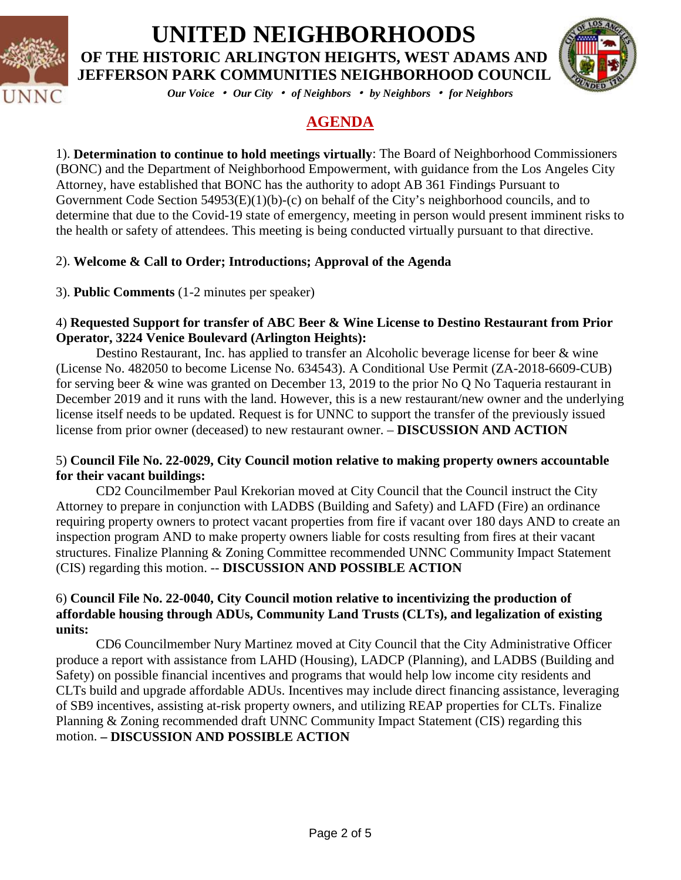



*Our Voice* • *Our City* • *of Neighbors* • *by Neighbors* • *for Neighbors*

### **AGENDA**

1). **Determination to continue to hold meetings virtually**: The Board of Neighborhood Commissioners (BONC) and the Department of Neighborhood Empowerment, with guidance from the Los Angeles City Attorney, have established that BONC has the authority to adopt AB 361 Findings Pursuant to Government Code Section 54953(E)(1)(b)-(c) on behalf of the City's neighborhood councils, and to determine that due to the Covid-19 state of emergency, meeting in person would present imminent risks to the health or safety of attendees. This meeting is being conducted virtually pursuant to that directive.

### 2). **Welcome & Call to Order; Introductions; Approval of the Agenda**

3). **Public Comments** (1-2 minutes per speaker)

### 4) **Requested Support for transfer of ABC Beer & Wine License to Destino Restaurant from Prior Operator, 3224 Venice Boulevard (Arlington Heights):**

Destino Restaurant, Inc. has applied to transfer an Alcoholic beverage license for beer & wine (License No. 482050 to become License No. 634543). A Conditional Use Permit (ZA-2018-6609-CUB) for serving beer & wine was granted on December 13, 2019 to the prior No Q No Taqueria restaurant in December 2019 and it runs with the land. However, this is a new restaurant/new owner and the underlying license itself needs to be updated. Request is for UNNC to support the transfer of the previously issued license from prior owner (deceased) to new restaurant owner. – **DISCUSSION AND ACTION**

### 5) **Council File No. 22-0029, City Council motion relative to making property owners accountable for their vacant buildings:**

CD2 Councilmember Paul Krekorian moved at City Council that the Council instruct the City Attorney to prepare in conjunction with LADBS (Building and Safety) and LAFD (Fire) an ordinance requiring property owners to protect vacant properties from fire if vacant over 180 days AND to create an inspection program AND to make property owners liable for costs resulting from fires at their vacant structures. Finalize Planning & Zoning Committee recommended UNNC Community Impact Statement (CIS) regarding this motion. -- **DISCUSSION AND POSSIBLE ACTION** 

### 6) **Council File No. 22-0040, City Council motion relative to incentivizing the production of affordable housing through ADUs, Community Land Trusts (CLTs), and legalization of existing units:**

CD6 Councilmember Nury Martinez moved at City Council that the City Administrative Officer produce a report with assistance from LAHD (Housing), LADCP (Planning), and LADBS (Building and Safety) on possible financial incentives and programs that would help low income city residents and CLTs build and upgrade affordable ADUs. Incentives may include direct financing assistance, leveraging of SB9 incentives, assisting at-risk property owners, and utilizing REAP properties for CLTs. Finalize Planning & Zoning recommended draft UNNC Community Impact Statement (CIS) regarding this motion. **– DISCUSSION AND POSSIBLE ACTION**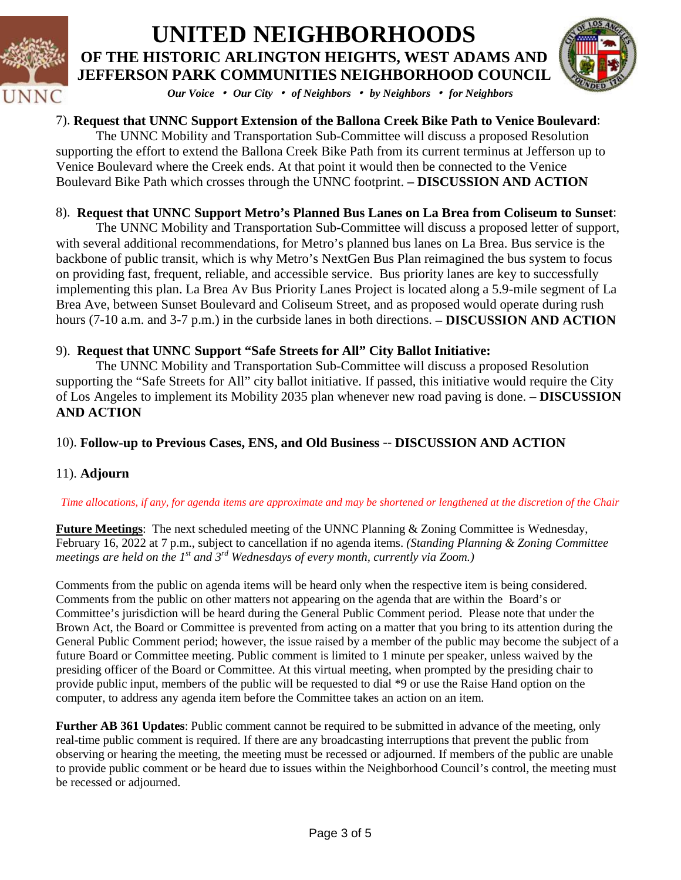



*Our Voice* • *Our City* • *of Neighbors* • *by Neighbors* • *for Neighbors*

### 7). **Request that UNNC Support Extension of the Ballona Creek Bike Path to Venice Boulevard**:

The UNNC Mobility and Transportation Sub-Committee will discuss a proposed Resolution supporting the effort to extend the Ballona Creek Bike Path from its current terminus at Jefferson up to Venice Boulevard where the Creek ends. At that point it would then be connected to the Venice Boulevard Bike Path which crosses through the UNNC footprint. **– DISCUSSION AND ACTION**

### 8). **Request that UNNC Support Metro's Planned Bus Lanes on La Brea from Coliseum to Sunset**:

The UNNC Mobility and Transportation Sub-Committee will discuss a proposed letter of support, with several additional recommendations, for Metro's planned bus lanes on La Brea. Bus service is the backbone of public transit, which is why Metro's NextGen Bus Plan reimagined the bus system to focus on providing fast, frequent, reliable, and accessible service. Bus priority lanes are key to successfully implementing this plan. La Brea Av Bus Priority Lanes Project is located along a 5.9-mile segment of La Brea Ave, between Sunset Boulevard and Coliseum Street, and as proposed would operate during rush hours (7-10 a.m. and 3-7 p.m.) in the curbside lanes in both directions. **– DISCUSSION AND ACTION**

#### 9). **Request that UNNC Support "Safe Streets for All" City Ballot Initiative:**

The UNNC Mobility and Transportation Sub-Committee will discuss a proposed Resolution supporting the "Safe Streets for All" city ballot initiative. If passed, this initiative would require the City of Los Angeles to implement its Mobility 2035 plan whenever new road paving is done. – **DISCUSSION AND ACTION**

#### 10). **Follow-up to Previous Cases, ENS, and Old Business** -- **DISCUSSION AND ACTION**

#### 11). **Adjourn**

#### *Time allocations, if any, for agenda items are approximate and may be shortened or lengthened at the discretion of the Chair*

**Future Meetings**: The next scheduled meeting of the UNNC Planning & Zoning Committee is Wednesday, February 16, 2022 at 7 p.m., subject to cancellation if no agenda items. *(Standing Planning & Zoning Committee meetings are held on the 1st and 3rd Wednesdays of every month, currently via Zoom.)*

Comments from the public on agenda items will be heard only when the respective item is being considered. Comments from the public on other matters not appearing on the agenda that are within the Board's or Committee's jurisdiction will be heard during the General Public Comment period. Please note that under the Brown Act, the Board or Committee is prevented from acting on a matter that you bring to its attention during the General Public Comment period; however, the issue raised by a member of the public may become the subject of a future Board or Committee meeting. Public comment is limited to 1 minute per speaker, unless waived by the presiding officer of the Board or Committee. At this virtual meeting, when prompted by the presiding chair to provide public input, members of the public will be requested to dial \*9 or use the Raise Hand option on the computer, to address any agenda item before the Committee takes an action on an item.

**Further AB 361 Updates**: Public comment cannot be required to be submitted in advance of the meeting, only real-time public comment is required. If there are any broadcasting interruptions that prevent the public from observing or hearing the meeting, the meeting must be recessed or adjourned. If members of the public are unable to provide public comment or be heard due to issues within the Neighborhood Council's control, the meeting must be recessed or adjourned.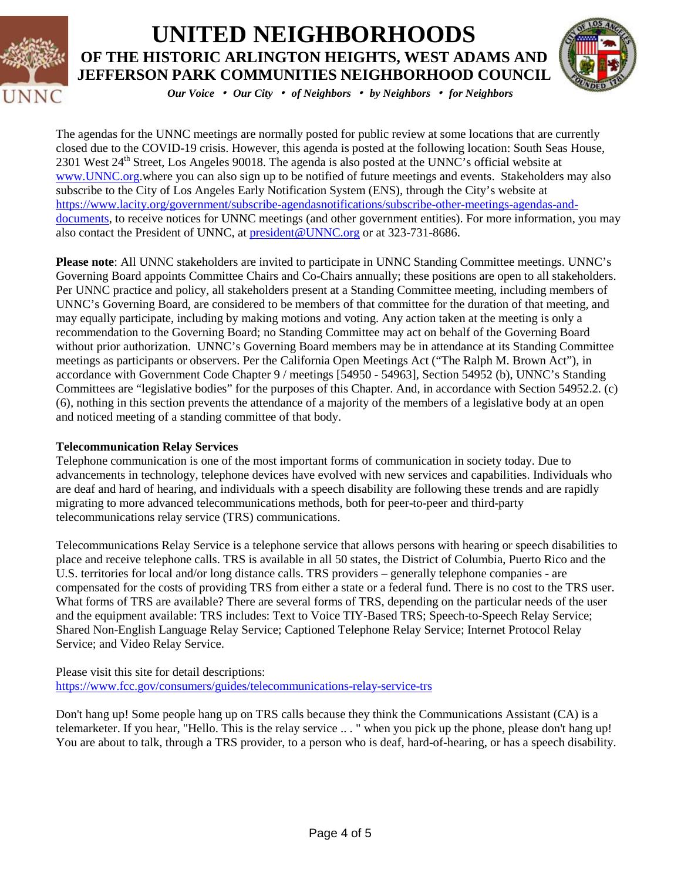



*Our Voice* • *Our City* • *of Neighbors* • *by Neighbors* • *for Neighbors*

The agendas for the UNNC meetings are normally posted for public review at some locations that are currently closed due to the COVID-19 crisis. However, this agenda is posted at the following location: South Seas House, 2301 West 24<sup>th</sup> Street, Los Angeles 90018. The agenda is also posted at the UNNC's official website at [www.UNNC.org.](http://www.unnc.org/)where you can also sign up to be notified of future meetings and events. Stakeholders may also subscribe to the City of Los Angeles Early Notification System (ENS), through the City's website at [https://www.lacity.org/government/subscribe-agendasnotifications/subscribe-other-meetings-agendas-and](https://www.lacity.org/government/subscribe-agendasnotifications/subscribe-other-meetings-agendas-and-documents)[documents,](https://www.lacity.org/government/subscribe-agendasnotifications/subscribe-other-meetings-agendas-and-documents) to receive notices for UNNC meetings (and other government entities). For more information, you may also contact the President of UNNC, at [president@UNNC.org](mailto:president@UNNC.org) or at 323-731-8686.

**Please note**: All UNNC stakeholders are invited to participate in UNNC Standing Committee meetings. UNNC's Governing Board appoints Committee Chairs and Co-Chairs annually; these positions are open to all stakeholders. Per UNNC practice and policy, all stakeholders present at a Standing Committee meeting, including members of UNNC's Governing Board, are considered to be members of that committee for the duration of that meeting, and may equally participate, including by making motions and voting. Any action taken at the meeting is only a recommendation to the Governing Board; no Standing Committee may act on behalf of the Governing Board without prior authorization. UNNC's Governing Board members may be in attendance at its Standing Committee meetings as participants or observers. Per the California Open Meetings Act ("The Ralph M. Brown Act"), in accordance with Government Code Chapter 9 / meetings [54950 - 54963], Section 54952 (b), UNNC's Standing Committees are "legislative bodies" for the purposes of this Chapter. And, in accordance with Section 54952.2. (c) (6), nothing in this section prevents the attendance of a majority of the members of a legislative body at an open and noticed meeting of a standing committee of that body.

#### **Telecommunication Relay Services**

Telephone communication is one of the most important forms of communication in society today. Due to advancements in technology, telephone devices have evolved with new services and capabilities. Individuals who are deaf and hard of hearing, and individuals with a speech disability are following these trends and are rapidly migrating to more advanced telecommunications methods, both for peer-to-peer and third-party telecommunications relay service (TRS) communications.

Telecommunications Relay Service is a telephone service that allows persons with hearing or speech disabilities to place and receive telephone calls. TRS is available in all 50 states, the District of Columbia, Puerto Rico and the U.S. territories for local and/or long distance calls. TRS providers – generally telephone companies - are compensated for the costs of providing TRS from either a state or a federal fund. There is no cost to the TRS user. What forms of TRS are available? There are several forms of TRS, depending on the particular needs of the user and the equipment available: TRS includes: Text to Voice TIY-Based TRS; Speech-to-Speech Relay Service; Shared Non-English Language Relay Service; Captioned Telephone Relay Service; Internet Protocol Relay Service; and Video Relay Service.

Please visit this site for detail descriptions: <https://www.fcc.gov/consumers/guides/telecommunications-relay-service-trs>

Don't hang up! Some people hang up on TRS calls because they think the Communications Assistant (CA) is a telemarketer. If you hear, "Hello. This is the relay service .. . " when you pick up the phone, please don't hang up! You are about to talk, through a TRS provider, to a person who is deaf, hard-of-hearing, or has a speech disability.